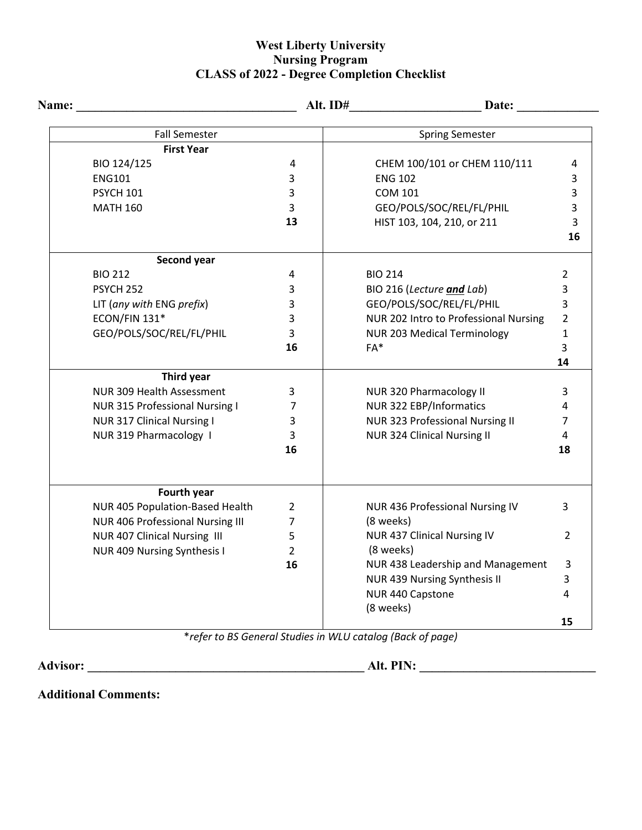## **West Liberty University Nursing Program CLASS of 2022 - Degree Completion Checklist**

| <b>Name:</b> |                                  |                | Date: $\qquad \qquad$                 |                |
|--------------|----------------------------------|----------------|---------------------------------------|----------------|
|              | <b>Fall Semester</b>             |                | <b>Spring Semester</b>                |                |
|              | <b>First Year</b>                |                |                                       |                |
|              | BIO 124/125                      | 4              | CHEM 100/101 or CHEM 110/111          | 4              |
|              | <b>ENG101</b>                    | 3              | <b>ENG 102</b>                        | 3              |
|              | <b>PSYCH 101</b>                 | 3              | <b>COM 101</b>                        | 3              |
|              | <b>MATH 160</b>                  | 3              | GEO/POLS/SOC/REL/FL/PHIL              | 3              |
|              |                                  | 13             | HIST 103, 104, 210, or 211            | 3              |
|              |                                  |                |                                       | 16             |
|              | Second year                      |                |                                       |                |
|              | <b>BIO 212</b>                   | 4              | <b>BIO 214</b>                        | $\overline{2}$ |
|              | PSYCH <sub>252</sub>             | 3              | BIO 216 (Lecture and Lab)             | 3              |
|              | LIT (any with ENG prefix)        | 3              | GEO/POLS/SOC/REL/FL/PHIL              | 3              |
|              | ECON/FIN 131*                    | 3              | NUR 202 Intro to Professional Nursing | $\overline{2}$ |
|              | GEO/POLS/SOC/REL/FL/PHIL         | 3              | <b>NUR 203 Medical Terminology</b>    | $\mathbf{1}$   |
|              |                                  | 16             | FA*                                   | 3              |
|              |                                  |                |                                       | 14             |
|              | Third year                       |                |                                       |                |
|              | NUR 309 Health Assessment        | 3              | NUR 320 Pharmacology II               | 3              |
|              | NUR 315 Professional Nursing I   | 7              | NUR 322 EBP/Informatics               | 4              |
|              | NUR 317 Clinical Nursing I       | 3              | NUR 323 Professional Nursing II       | 7              |
|              | NUR 319 Pharmacology 1           | 3              | <b>NUR 324 Clinical Nursing II</b>    | 4              |
|              |                                  | 16             |                                       | 18             |
|              | Fourth year                      |                |                                       |                |
|              | NUR 405 Population-Based Health  | 2              | NUR 436 Professional Nursing IV       | 3              |
|              | NUR 406 Professional Nursing III | $\overline{7}$ | (8 weeks)                             |                |
|              | NUR 407 Clinical Nursing III     | 5              | NUR 437 Clinical Nursing IV           | 2              |
|              | NUR 409 Nursing Synthesis I      | $\overline{2}$ | (8 weeks)                             |                |
|              |                                  | 16             | NUR 438 Leadership and Management     | 3              |
|              |                                  |                | NUR 439 Nursing Synthesis II          | 3              |
|              |                                  |                | NUR 440 Capstone                      | 4              |
|              |                                  |                | (8 weeks)                             |                |
|              |                                  |                |                                       | 15             |

\**refer to BS General Studies in WLU catalog (Back of page)*

**Advisor: \_\_\_\_\_\_\_\_\_\_\_\_\_\_\_\_\_\_\_\_\_\_\_\_\_\_\_\_\_\_\_\_\_\_\_\_\_\_\_\_\_\_\_\_ Alt. PIN: \_\_\_\_\_\_\_\_\_\_\_\_\_\_\_\_\_\_\_\_\_\_\_\_\_\_\_\_**

**Additional Comments:**